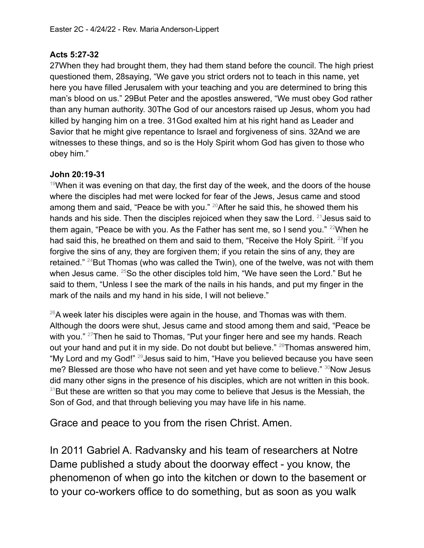## **Acts 5:27-32**

27When they had brought them, they had them stand before the council. The high priest questioned them, 28saying, "We gave you strict orders not to teach in this name, yet here you have filled Jerusalem with your teaching and you are determined to bring this man's blood on us." 29But Peter and the apostles answered, "We must obey God rather than any human authority. 30The God of our ancestors raised up Jesus, whom you had killed by hanging him on a tree. 31God exalted him at his right hand as Leader and Savior that he might give repentance to Israel and forgiveness of sins. 32And we are witnesses to these things, and so is the Holy Spirit whom God has given to those who obey him."

## **John 20:19-31**

 $19$ When it was evening on that day, the first day of the week, and the doors of the house where the disciples had met were locked for fear of the Jews, Jesus came and stood among them and said, "Peace be with you." <sup>20</sup>After he said this, he showed them his hands and his side. Then the disciples rejoiced when they saw the Lord.  $21$  Jesus said to them again, "Peace be with you. As the Father has sent me, so I send you."  $22$ When he had said this, he breathed on them and said to them, "Receive the Holy Spirit. <sup>23</sup>lf you forgive the sins of any, they are forgiven them; if you retain the sins of any, they are retained." <sup>24</sup>But Thomas (who was called the Twin), one of the twelve, was not with them when Jesus came. <sup>25</sup>So the other disciples told him, "We have seen the Lord." But he said to them, "Unless I see the mark of the nails in his hands, and put my finger in the mark of the nails and my hand in his side, I will not believe."

 $^{26}$ A week later his disciples were again in the house, and Thomas was with them. Although the doors were shut, Jesus came and stood among them and said, "Peace be with you." <sup>27</sup>Then he said to Thomas, "Put your finger here and see my hands. Reach out your hand and put it in my side. Do not doubt but believe." <sup>28</sup>Thomas answered him, "My Lord and my God!" <sup>29</sup>Jesus said to him, "Have you believed because you have seen me? Blessed are those who have not seen and yet have come to believe." 30Now Jesus did many other signs in the presence of his disciples, which are not written in this book.  $31$ But these are written so that you may come to believe that Jesus is the Messiah, the Son of God, and that through believing you may have life in his name.

Grace and peace to you from the risen Christ. Amen.

In 2011 Gabriel A. Radvansky and his team of researchers at Notre Dame published a study about the doorway effect - you know, the phenomenon of when go into the kitchen or down to the basement or to your co-workers office to do something, but as soon as you walk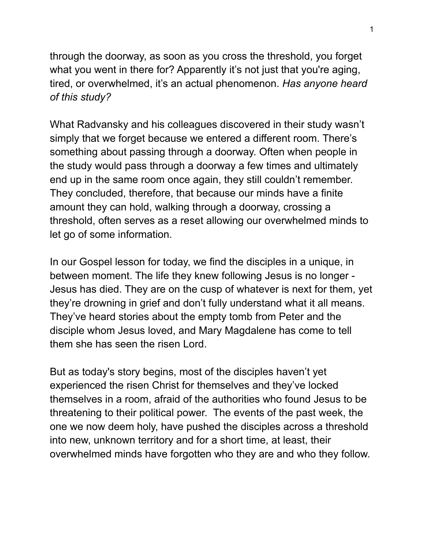through the doorway, as soon as you cross the threshold, you forget what you went in there for? Apparently it's not just that you're aging, tired, or overwhelmed, it's an actual phenomenon. *Has anyone heard of this study?*

What Radvansky and his colleagues discovered in their study wasn't simply that we forget because we entered a different room. There's something about passing through a doorway. Often when people in the study would pass through a doorway a few times and ultimately end up in the same room once again, they still couldn't remember. They concluded, therefore, that because our minds have a finite amount they can hold, walking through a doorway, crossing a threshold, often serves as a reset allowing our overwhelmed minds to let go of some information.

In our Gospel lesson for today, we find the disciples in a unique, in between moment. The life they knew following Jesus is no longer - Jesus has died. They are on the cusp of whatever is next for them, yet they're drowning in grief and don't fully understand what it all means. They've heard stories about the empty tomb from Peter and the disciple whom Jesus loved, and Mary Magdalene has come to tell them she has seen the risen Lord.

But as today's story begins, most of the disciples haven't yet experienced the risen Christ for themselves and they've locked themselves in a room, afraid of the authorities who found Jesus to be threatening to their political power. The events of the past week, the one we now deem holy, have pushed the disciples across a threshold into new, unknown territory and for a short time, at least, their overwhelmed minds have forgotten who they are and who they follow.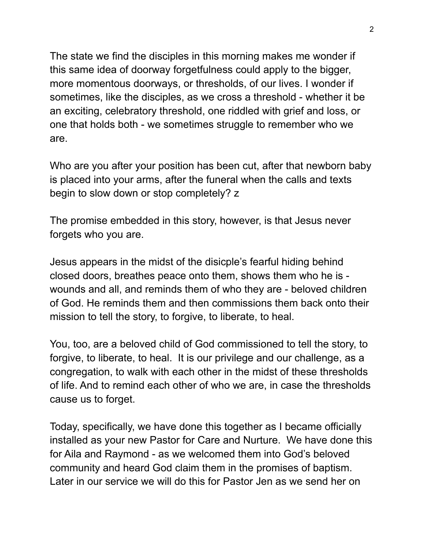The state we find the disciples in this morning makes me wonder if this same idea of doorway forgetfulness could apply to the bigger, more momentous doorways, or thresholds, of our lives. I wonder if sometimes, like the disciples, as we cross a threshold - whether it be an exciting, celebratory threshold, one riddled with grief and loss, or one that holds both - we sometimes struggle to remember who we are.

Who are you after your position has been cut, after that newborn baby is placed into your arms, after the funeral when the calls and texts begin to slow down or stop completely? z

The promise embedded in this story, however, is that Jesus never forgets who you are.

Jesus appears in the midst of the disicple's fearful hiding behind closed doors, breathes peace onto them, shows them who he is wounds and all, and reminds them of who they are - beloved children of God. He reminds them and then commissions them back onto their mission to tell the story, to forgive, to liberate, to heal.

You, too, are a beloved child of God commissioned to tell the story, to forgive, to liberate, to heal. It is our privilege and our challenge, as a congregation, to walk with each other in the midst of these thresholds of life. And to remind each other of who we are, in case the thresholds cause us to forget.

Today, specifically, we have done this together as I became officially installed as your new Pastor for Care and Nurture. We have done this for Aila and Raymond - as we welcomed them into God's beloved community and heard God claim them in the promises of baptism. Later in our service we will do this for Pastor Jen as we send her on